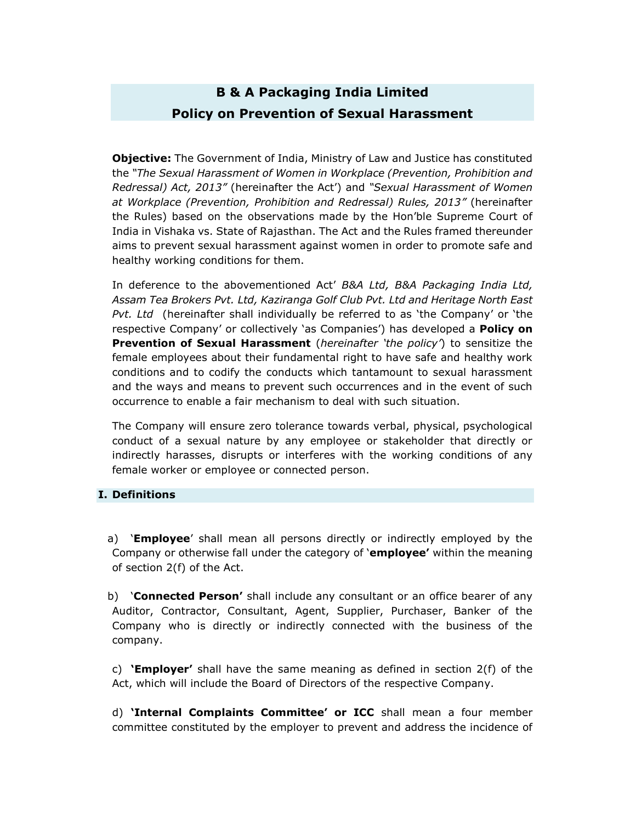# **B & A Packaging India Limited Policy on Prevention of Sexual Harassment**

**Objective:** The Government of India, Ministry of Law and Justice has constituted the *"The Sexual Harassment of Women in Workplace (Prevention, Prohibition and Redressal) Act, 2013"* (hereinafter the Act') and *"Sexual Harassment of Women at Workplace (Prevention, Prohibition and Redressal) Rules, 2013"* (hereinafter the Rules) based on the observations made by the Hon'ble Supreme Court of India in Vishaka vs. State of Rajasthan. The Act and the Rules framed thereunder aims to prevent sexual harassment against women in order to promote safe and healthy working conditions for them.

In deference to the abovementioned Act' *B&A Ltd, B&A Packaging India Ltd, Assam Tea Brokers Pvt. Ltd, Kaziranga Golf Club Pvt. Ltd and Heritage North East Pvt. Ltd* (hereinafter shall individually be referred to as 'the Company' or 'the respective Company' or collectively 'as Companies') has developed a **Policy on Prevention of Sexual Harassment** (*hereinafter 'the policy'*) to sensitize the female employees about their fundamental right to have safe and healthy work conditions and to codify the conducts which tantamount to sexual harassment and the ways and means to prevent such occurrences and in the event of such occurrence to enable a fair mechanism to deal with such situation.

The Company will ensure zero tolerance towards verbal, physical, psychological conduct of a sexual nature by any employee or stakeholder that directly or indirectly harasses, disrupts or interferes with the working conditions of any female worker or employee or connected person.

#### **I. Definitions**

a) '**Employee**' shall mean all persons directly or indirectly employed by the Company or otherwise fall under the category of '**employee'** within the meaning of section 2(f) of the Act.

b) '**Connected Person'** shall include any consultant or an office bearer of any Auditor, Contractor, Consultant, Agent, Supplier, Purchaser, Banker of the Company who is directly or indirectly connected with the business of the company.

c) **'Employer'** shall have the same meaning as defined in section 2(f) of the Act, which will include the Board of Directors of the respective Company.

d) **'Internal Complaints Committee' or ICC** shall mean a four member committee constituted by the employer to prevent and address the incidence of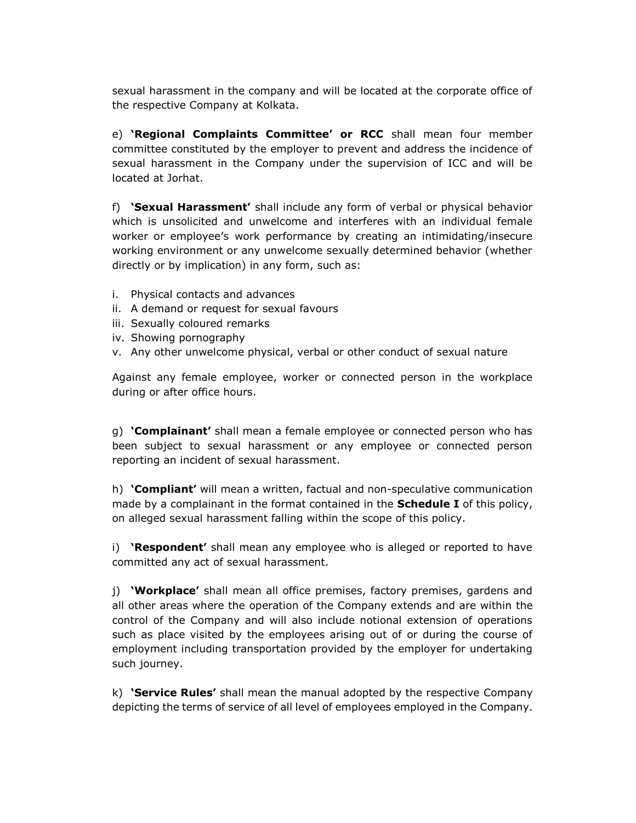sexual harassment in the company and will be located at the corporate office of the respective Company at Kolkata.

e) **'Regional Complaints Committee' or RCC** shall mean four member committee constituted by the employer to prevent and address the incidence of sexual harassment in the Company under the supervision of ICC and will be located at Jorhat.

f) **'Sexual Harassment'** shall include any form of verbal or physical behavior which is unsolicited and unwelcome and interferes with an individual female worker or employee's work performance by creating an intimidating/insecure working environment or any unwelcome sexually determined behavior (whether directly or by implication) in any form, such as:

- i. Physical contacts and advances
- ii. A demand or request for sexual favours
- iii. Sexually coloured remarks
- iv. Showing pornography
- v. Any other unwelcome physical, verbal or other conduct of sexual nature

Against any female employee, worker or connected person in the workplace during or after office hours.

g) **'Complainant'** shall mean a female employee or connected person who has been subject to sexual harassment or any employee or connected person reporting an incident of sexual harassment.

h) **'Compliant'** will mean a written, factual and non-speculative communication made by a complainant in the format contained in the **Schedule I** of this policy, on alleged sexual harassment falling within the scope of this policy.

i) **'Respondent'** shall mean any employee who is alleged or reported to have committed any act of sexual harassment.

j) **'Workplace'** shall mean all office premises, factory premises, gardens and all other areas where the operation of the Company extends and are within the control of the Company and will also include notional extension of operations such as place visited by the employees arising out of or during the course of employment including transportation provided by the employer for undertaking such journey.

k) **'Service Rules'** shall mean the manual adopted by the respective Company depicting the terms of service of all level of employees employed in the Company.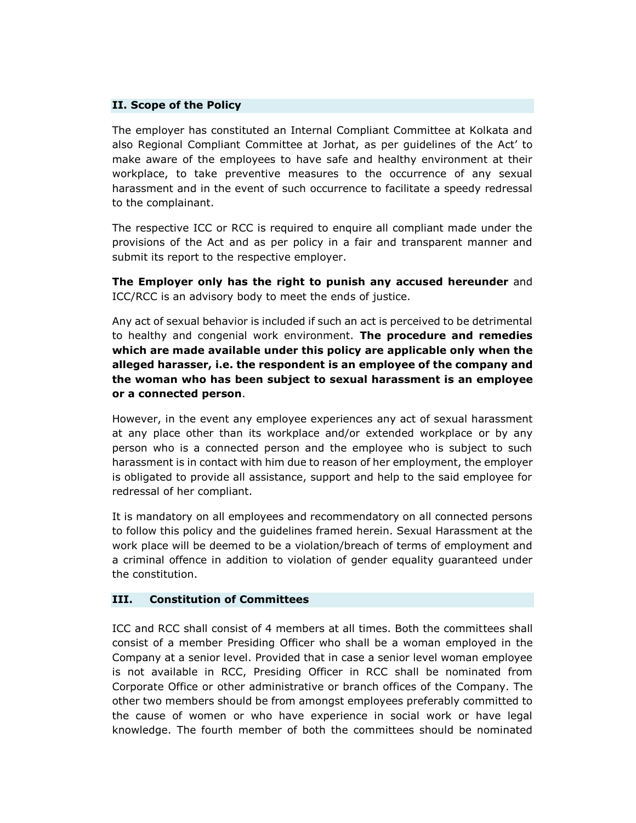#### **II. Scope of the Policy**

The employer has constituted an Internal Compliant Committee at Kolkata and also Regional Compliant Committee at Jorhat, as per guidelines of the Act' to make aware of the employees to have safe and healthy environment at their workplace, to take preventive measures to the occurrence of any sexual harassment and in the event of such occurrence to facilitate a speedy redressal to the complainant.

The respective ICC or RCC is required to enquire all compliant made under the provisions of the Act and as per policy in a fair and transparent manner and submit its report to the respective employer.

**The Employer only has the right to punish any accused hereunder** and ICC/RCC is an advisory body to meet the ends of justice.

Any act of sexual behavior is included if such an act is perceived to be detrimental to healthy and congenial work environment. **The procedure and remedies which are made available under this policy are applicable only when the alleged harasser, i.e. the respondent is an employee of the company and the woman who has been subject to sexual harassment is an employee or a connected person**.

However, in the event any employee experiences any act of sexual harassment at any place other than its workplace and/or extended workplace or by any person who is a connected person and the employee who is subject to such harassment is in contact with him due to reason of her employment, the employer is obligated to provide all assistance, support and help to the said employee for redressal of her compliant.

It is mandatory on all employees and recommendatory on all connected persons to follow this policy and the guidelines framed herein. Sexual Harassment at the work place will be deemed to be a violation/breach of terms of employment and a criminal offence in addition to violation of gender equality guaranteed under the constitution.

#### **III. Constitution of Committees**

ICC and RCC shall consist of 4 members at all times. Both the committees shall consist of a member Presiding Officer who shall be a woman employed in the Company at a senior level. Provided that in case a senior level woman employee is not available in RCC, Presiding Officer in RCC shall be nominated from Corporate Office or other administrative or branch offices of the Company. The other two members should be from amongst employees preferably committed to the cause of women or who have experience in social work or have legal knowledge. The fourth member of both the committees should be nominated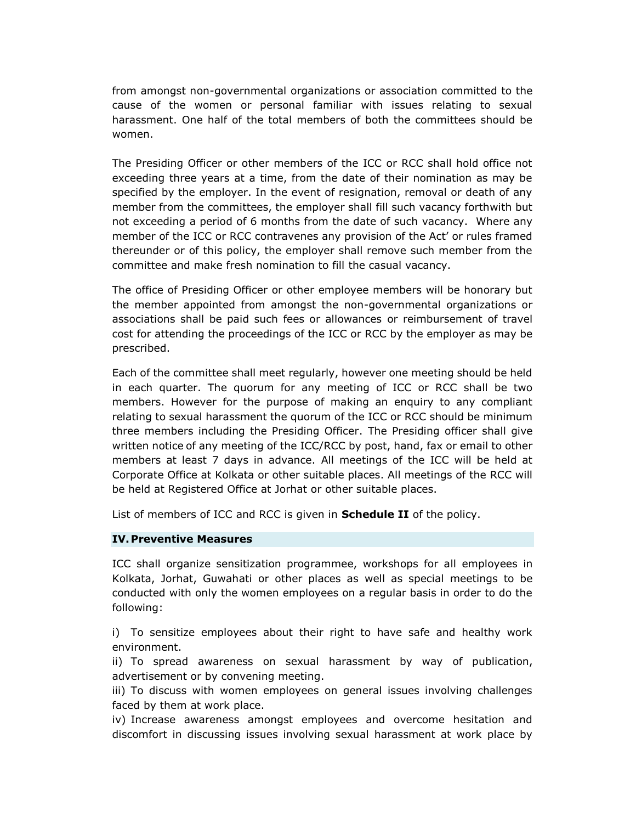from amongst non-governmental organizations or association committed to the cause of the women or personal familiar with issues relating to sexual harassment. One half of the total members of both the committees should be women.

The Presiding Officer or other members of the ICC or RCC shall hold office not exceeding three years at a time, from the date of their nomination as may be specified by the employer. In the event of resignation, removal or death of any member from the committees, the employer shall fill such vacancy forthwith but not exceeding a period of 6 months from the date of such vacancy. Where any member of the ICC or RCC contravenes any provision of the Act' or rules framed thereunder or of this policy, the employer shall remove such member from the committee and make fresh nomination to fill the casual vacancy.

The office of Presiding Officer or other employee members will be honorary but the member appointed from amongst the non-governmental organizations or associations shall be paid such fees or allowances or reimbursement of travel cost for attending the proceedings of the ICC or RCC by the employer as may be prescribed.

Each of the committee shall meet regularly, however one meeting should be held in each quarter. The quorum for any meeting of ICC or RCC shall be two members. However for the purpose of making an enquiry to any compliant relating to sexual harassment the quorum of the ICC or RCC should be minimum three members including the Presiding Officer. The Presiding officer shall give written notice of any meeting of the ICC/RCC by post, hand, fax or email to other members at least 7 days in advance. All meetings of the ICC will be held at Corporate Office at Kolkata or other suitable places. All meetings of the RCC will be held at Registered Office at Jorhat or other suitable places.

List of members of ICC and RCC is given in **Schedule II** of the policy.

#### **IV.Preventive Measures**

ICC shall organize sensitization programmee, workshops for all employees in Kolkata, Jorhat, Guwahati or other places as well as special meetings to be conducted with only the women employees on a regular basis in order to do the following:

i) To sensitize employees about their right to have safe and healthy work environment.

ii) To spread awareness on sexual harassment by way of publication, advertisement or by convening meeting.

iii) To discuss with women employees on general issues involving challenges faced by them at work place.

iv) Increase awareness amongst employees and overcome hesitation and discomfort in discussing issues involving sexual harassment at work place by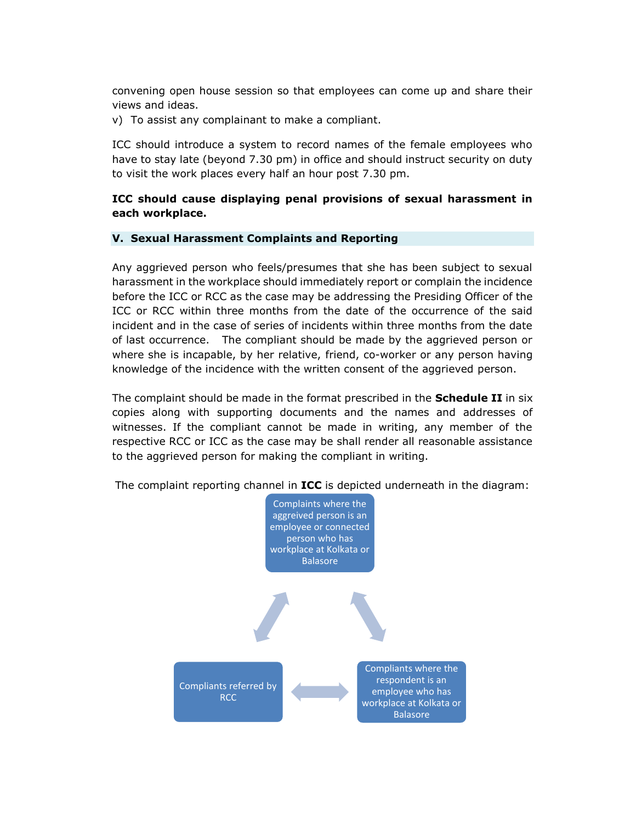convening open house session so that employees can come up and share their views and ideas.

v) To assist any complainant to make a compliant.

ICC should introduce a system to record names of the female employees who have to stay late (beyond 7.30 pm) in office and should instruct security on duty to visit the work places every half an hour post 7.30 pm.

### **ICC should cause displaying penal provisions of sexual harassment in each workplace.**

#### **V. Sexual Harassment Complaints and Reporting**

Any aggrieved person who feels/presumes that she has been subject to sexual harassment in the workplace should immediately report or complain the incidence before the ICC or RCC as the case may be addressing the Presiding Officer of the ICC or RCC within three months from the date of the occurrence of the said incident and in the case of series of incidents within three months from the date of last occurrence. The compliant should be made by the aggrieved person or where she is incapable, by her relative, friend, co-worker or any person having knowledge of the incidence with the written consent of the aggrieved person.

The complaint should be made in the format prescribed in the **Schedule II** in six copies along with supporting documents and the names and addresses of witnesses. If the compliant cannot be made in writing, any member of the respective RCC or ICC as the case may be shall render all reasonable assistance to the aggrieved person for making the compliant in writing.

The complaint reporting channel in **ICC** is depicted underneath in the diagram:

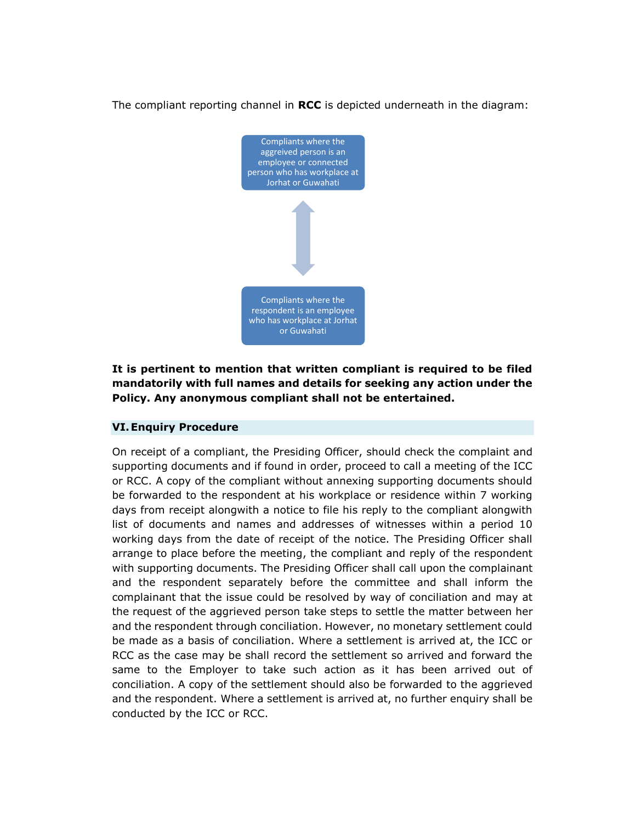The compliant reporting channel in **RCC** is depicted underneath in the diagram:



### **It is pertinent to mention that written compliant is required to be filed mandatorily with full names and details for seeking any action under the Policy. Any anonymous compliant shall not be entertained.**

#### **VI.Enquiry Procedure**

On receipt of a compliant, the Presiding Officer, should check the complaint and supporting documents and if found in order, proceed to call a meeting of the ICC or RCC. A copy of the compliant without annexing supporting documents should be forwarded to the respondent at his workplace or residence within 7 working days from receipt alongwith a notice to file his reply to the compliant alongwith list of documents and names and addresses of witnesses within a period 10 working days from the date of receipt of the notice. The Presiding Officer shall arrange to place before the meeting, the compliant and reply of the respondent with supporting documents. The Presiding Officer shall call upon the complainant and the respondent separately before the committee and shall inform the complainant that the issue could be resolved by way of conciliation and may at the request of the aggrieved person take steps to settle the matter between her and the respondent through conciliation. However, no monetary settlement could be made as a basis of conciliation. Where a settlement is arrived at, the ICC or RCC as the case may be shall record the settlement so arrived and forward the same to the Employer to take such action as it has been arrived out of conciliation. A copy of the settlement should also be forwarded to the aggrieved and the respondent. Where a settlement is arrived at, no further enquiry shall be conducted by the ICC or RCC.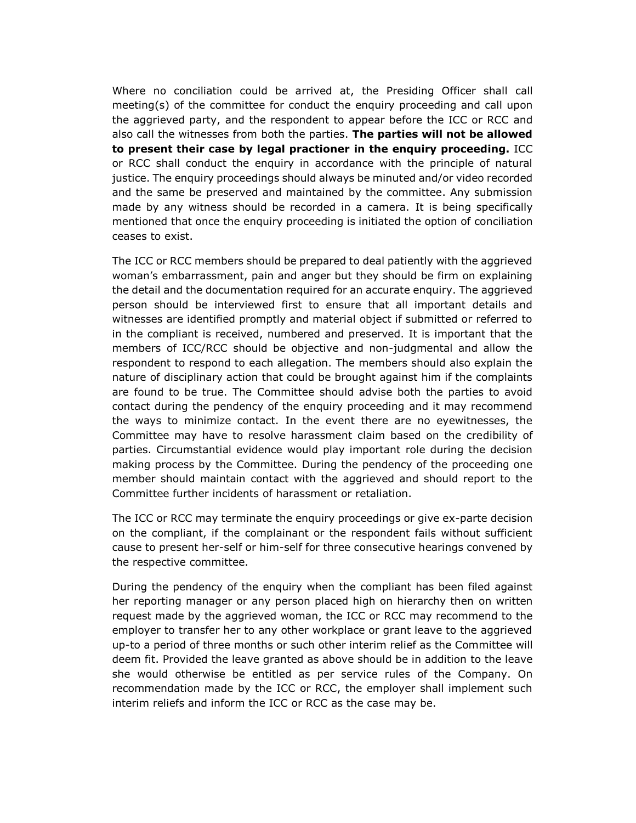Where no conciliation could be arrived at, the Presiding Officer shall call meeting(s) of the committee for conduct the enquiry proceeding and call upon the aggrieved party, and the respondent to appear before the ICC or RCC and also call the witnesses from both the parties. **The parties will not be allowed to present their case by legal practioner in the enquiry proceeding.** ICC or RCC shall conduct the enquiry in accordance with the principle of natural justice. The enquiry proceedings should always be minuted and/or video recorded and the same be preserved and maintained by the committee. Any submission made by any witness should be recorded in a camera. It is being specifically mentioned that once the enquiry proceeding is initiated the option of conciliation ceases to exist.

The ICC or RCC members should be prepared to deal patiently with the aggrieved woman's embarrassment, pain and anger but they should be firm on explaining the detail and the documentation required for an accurate enquiry. The aggrieved person should be interviewed first to ensure that all important details and witnesses are identified promptly and material object if submitted or referred to in the compliant is received, numbered and preserved. It is important that the members of ICC/RCC should be objective and non-judgmental and allow the respondent to respond to each allegation. The members should also explain the nature of disciplinary action that could be brought against him if the complaints are found to be true. The Committee should advise both the parties to avoid contact during the pendency of the enquiry proceeding and it may recommend the ways to minimize contact. In the event there are no eyewitnesses, the Committee may have to resolve harassment claim based on the credibility of parties. Circumstantial evidence would play important role during the decision making process by the Committee. During the pendency of the proceeding one member should maintain contact with the aggrieved and should report to the Committee further incidents of harassment or retaliation.

The ICC or RCC may terminate the enquiry proceedings or give ex-parte decision on the compliant, if the complainant or the respondent fails without sufficient cause to present her-self or him-self for three consecutive hearings convened by the respective committee.

During the pendency of the enquiry when the compliant has been filed against her reporting manager or any person placed high on hierarchy then on written request made by the aggrieved woman, the ICC or RCC may recommend to the employer to transfer her to any other workplace or grant leave to the aggrieved up-to a period of three months or such other interim relief as the Committee will deem fit. Provided the leave granted as above should be in addition to the leave she would otherwise be entitled as per service rules of the Company. On recommendation made by the ICC or RCC, the employer shall implement such interim reliefs and inform the ICC or RCC as the case may be.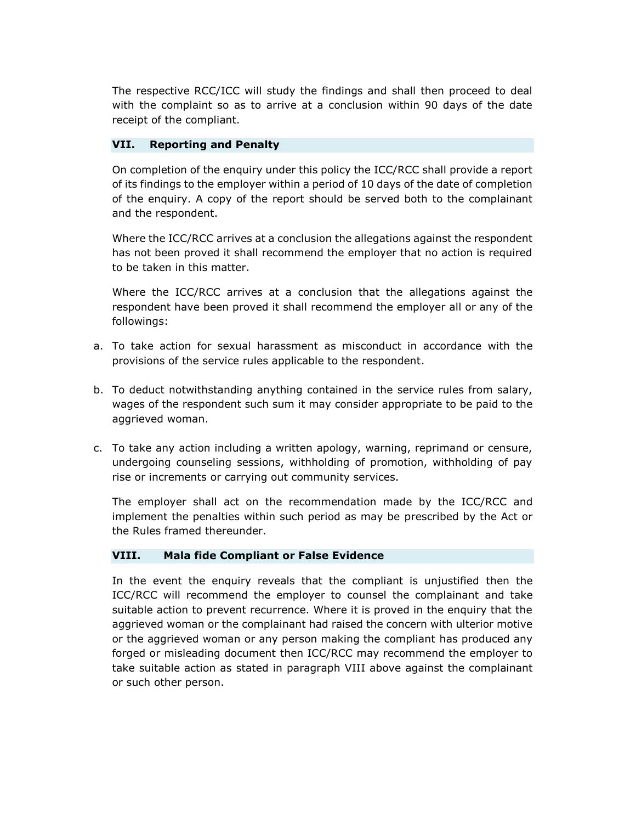The respective RCC/ICC will study the findings and shall then proceed to deal with the complaint so as to arrive at a conclusion within 90 days of the date receipt of the compliant.

#### **VII. Reporting and Penalty**

On completion of the enquiry under this policy the ICC/RCC shall provide a report of its findings to the employer within a period of 10 days of the date of completion of the enquiry. A copy of the report should be served both to the complainant and the respondent.

Where the ICC/RCC arrives at a conclusion the allegations against the respondent has not been proved it shall recommend the employer that no action is required to be taken in this matter.

Where the ICC/RCC arrives at a conclusion that the allegations against the respondent have been proved it shall recommend the employer all or any of the followings:

- a. To take action for sexual harassment as misconduct in accordance with the provisions of the service rules applicable to the respondent.
- b. To deduct notwithstanding anything contained in the service rules from salary, wages of the respondent such sum it may consider appropriate to be paid to the aggrieved woman.
- c. To take any action including a written apology, warning, reprimand or censure, undergoing counseling sessions, withholding of promotion, withholding of pay rise or increments or carrying out community services.

The employer shall act on the recommendation made by the ICC/RCC and implement the penalties within such period as may be prescribed by the Act or the Rules framed thereunder.

#### **VIII. Mala fide Compliant or False Evidence**

In the event the enquiry reveals that the compliant is unjustified then the ICC/RCC will recommend the employer to counsel the complainant and take suitable action to prevent recurrence. Where it is proved in the enquiry that the aggrieved woman or the complainant had raised the concern with ulterior motive or the aggrieved woman or any person making the compliant has produced any forged or misleading document then ICC/RCC may recommend the employer to take suitable action as stated in paragraph VIII above against the complainant or such other person.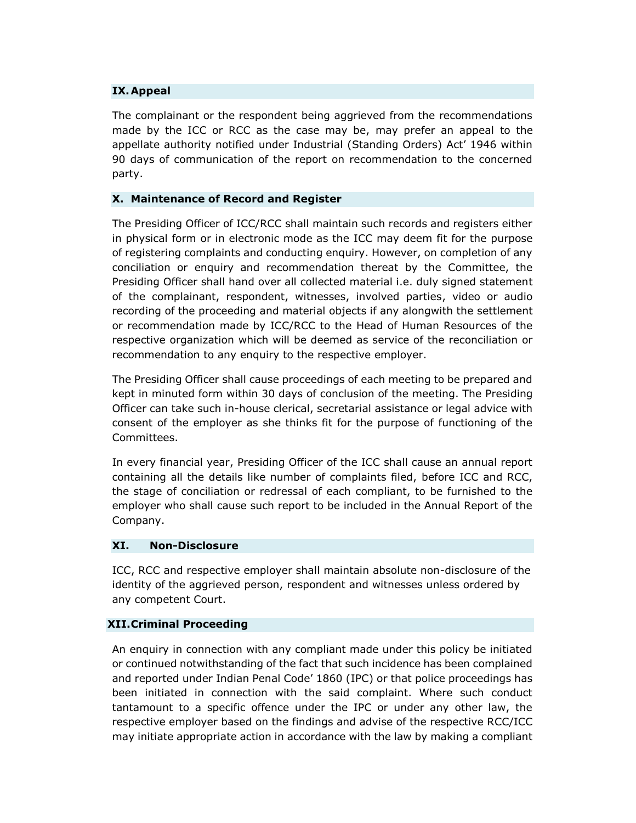#### **IX.Appeal**

The complainant or the respondent being aggrieved from the recommendations made by the ICC or RCC as the case may be, may prefer an appeal to the appellate authority notified under Industrial (Standing Orders) Act' 1946 within 90 days of communication of the report on recommendation to the concerned party.

#### **X. Maintenance of Record and Register**

The Presiding Officer of ICC/RCC shall maintain such records and registers either in physical form or in electronic mode as the ICC may deem fit for the purpose of registering complaints and conducting enquiry. However, on completion of any conciliation or enquiry and recommendation thereat by the Committee, the Presiding Officer shall hand over all collected material i.e. duly signed statement of the complainant, respondent, witnesses, involved parties, video or audio recording of the proceeding and material objects if any alongwith the settlement or recommendation made by ICC/RCC to the Head of Human Resources of the respective organization which will be deemed as service of the reconciliation or recommendation to any enquiry to the respective employer.

The Presiding Officer shall cause proceedings of each meeting to be prepared and kept in minuted form within 30 days of conclusion of the meeting. The Presiding Officer can take such in-house clerical, secretarial assistance or legal advice with consent of the employer as she thinks fit for the purpose of functioning of the Committees.

In every financial year, Presiding Officer of the ICC shall cause an annual report containing all the details like number of complaints filed, before ICC and RCC, the stage of conciliation or redressal of each compliant, to be furnished to the employer who shall cause such report to be included in the Annual Report of the Company.

#### **XI. Non-Disclosure**

ICC, RCC and respective employer shall maintain absolute non-disclosure of the identity of the aggrieved person, respondent and witnesses unless ordered by any competent Court.

#### **XII.Criminal Proceeding**

An enquiry in connection with any compliant made under this policy be initiated or continued notwithstanding of the fact that such incidence has been complained and reported under Indian Penal Code' 1860 (IPC) or that police proceedings has been initiated in connection with the said complaint. Where such conduct tantamount to a specific offence under the IPC or under any other law, the respective employer based on the findings and advise of the respective RCC/ICC may initiate appropriate action in accordance with the law by making a compliant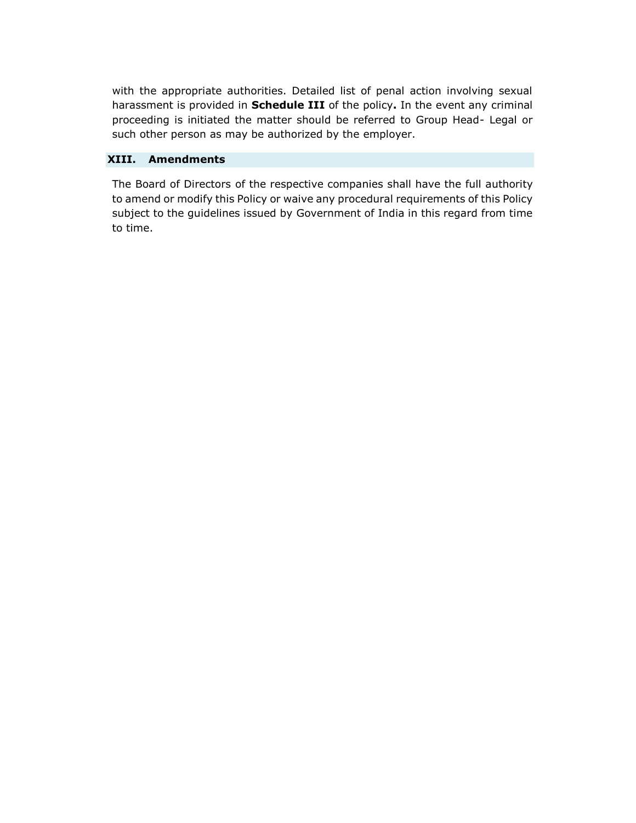with the appropriate authorities. Detailed list of penal action involving sexual harassment is provided in **Schedule III** of the policy**.** In the event any criminal proceeding is initiated the matter should be referred to Group Head- Legal or such other person as may be authorized by the employer.

#### **XIII. Amendments**

The Board of Directors of the respective companies shall have the full authority to amend or modify this Policy or waive any procedural requirements of this Policy subject to the guidelines issued by Government of India in this regard from time to time.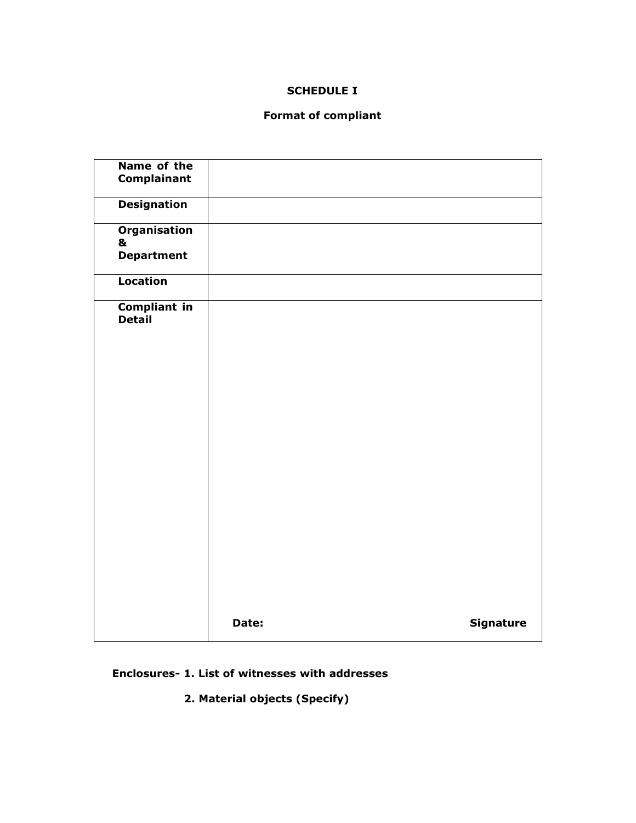### **SCHEDULE I**

### **Format of compliant**

| Name of the         |       |                  |
|---------------------|-------|------------------|
|                     |       |                  |
| Complainant         |       |                  |
|                     |       |                  |
|                     |       |                  |
| <b>Designation</b>  |       |                  |
|                     |       |                  |
|                     |       |                  |
| <b>Organisation</b> |       |                  |
|                     |       |                  |
| &                   |       |                  |
| <b>Department</b>   |       |                  |
|                     |       |                  |
|                     |       |                  |
|                     |       |                  |
| Location            |       |                  |
|                     |       |                  |
|                     |       |                  |
| <b>Compliant in</b> |       |                  |
|                     |       |                  |
| <b>Detail</b>       |       |                  |
|                     |       |                  |
|                     |       |                  |
|                     |       |                  |
|                     |       |                  |
|                     |       |                  |
|                     |       |                  |
|                     |       |                  |
|                     |       |                  |
|                     |       |                  |
|                     |       |                  |
|                     |       |                  |
|                     |       |                  |
|                     |       |                  |
|                     |       |                  |
|                     |       |                  |
|                     |       |                  |
|                     |       |                  |
|                     |       |                  |
|                     |       |                  |
|                     |       |                  |
|                     |       |                  |
|                     |       |                  |
|                     |       |                  |
|                     |       |                  |
|                     |       |                  |
|                     |       |                  |
|                     |       |                  |
|                     |       |                  |
|                     |       |                  |
|                     |       |                  |
|                     |       |                  |
|                     |       |                  |
|                     |       |                  |
|                     |       |                  |
|                     |       |                  |
|                     |       |                  |
|                     |       |                  |
|                     |       |                  |
|                     | Date: | <b>Signature</b> |
|                     |       |                  |
|                     |       |                  |

### **Enclosures- 1. List of witnesses with addresses**

 **2. Material objects (Specify)**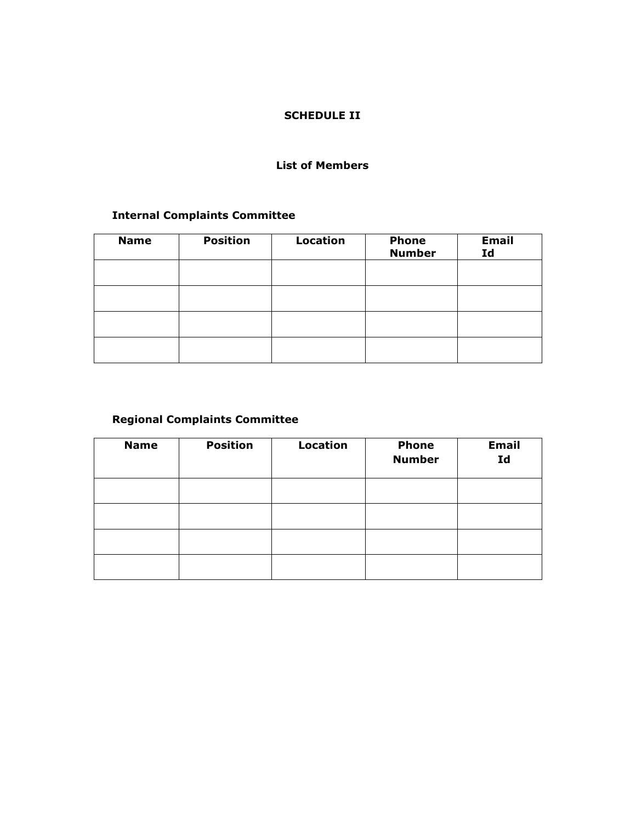### **SCHEDULE II**

#### **List of Members**

### **Internal Complaints Committee**

| <b>Name</b> | <b>Position</b> | <b>Location</b> | <b>Phone</b><br><b>Number</b> | <b>Email</b><br>Id |
|-------------|-----------------|-----------------|-------------------------------|--------------------|
|             |                 |                 |                               |                    |
|             |                 |                 |                               |                    |
|             |                 |                 |                               |                    |
|             |                 |                 |                               |                    |

## **Regional Complaints Committee**

| <b>Name</b> | <b>Position</b> | <b>Location</b> | <b>Phone</b><br><b>Number</b> | <b>Email</b><br>Id |
|-------------|-----------------|-----------------|-------------------------------|--------------------|
|             |                 |                 |                               |                    |
|             |                 |                 |                               |                    |
|             |                 |                 |                               |                    |
|             |                 |                 |                               |                    |